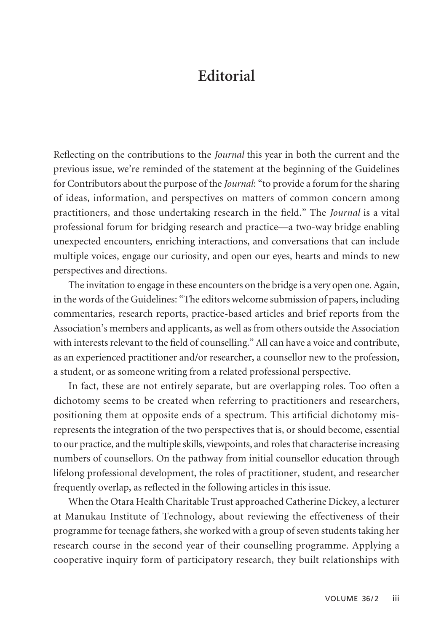## **Editorial**

Reflecting on the contributions to the *Journal* this year in both the current and the previous issue, we're reminded of the statement at the beginning of the Guidelines for Contributors about the purpose of the *Journal*: "to provide a forum for the sharing of ideas, information, and perspectives on matters of common concern among practitioners, and those undertaking research in the field." The *Journal* is a vital professional forum for bridging research and practice—a two-way bridge enabling unexpected encounters, enriching interactions, and conversations that can include multiple voices, engage our curiosity, and open our eyes, hearts and minds to new perspectives and directions.

The invitation to engage in these encounters on the bridge is a very open one. Again, in the words of the Guidelines: "The editors welcome submission of papers, including commentaries, research reports, practice-based articles and brief reports from the Association's members and applicants, as well as from others outside the Association with interests relevant to the field of counselling." All can have a voice and contribute, as an experienced practitioner and/or researcher, a counsellor new to the profession, a student, or as someone writing from a related professional perspective.

In fact, these are not entirely separate, but are overlapping roles. Too often a dichotomy seems to be created when referring to practitioners and researchers, positioning them at opposite ends of a spectrum. This artificial dichotomy misrepresents the integration of the two perspectives that is, or should become, essential to our practice, and the multiple skills, viewpoints, and roles that characterise increasing numbers of counsellors. On the pathway from initial counsellor education through lifelong professional development, the roles of practitioner, student, and researcher frequently overlap, as reflected in the following articles in this issue.

When the Otara Health Charitable Trust approached Catherine Dickey, a lecturer at Manukau Institute of Technology, about reviewing the effectiveness of their programme for teenage fathers, she worked with a group of seven students taking her research course in the second year of their counselling programme. Applying a cooperative inquiry form of participatory research, they built relationships with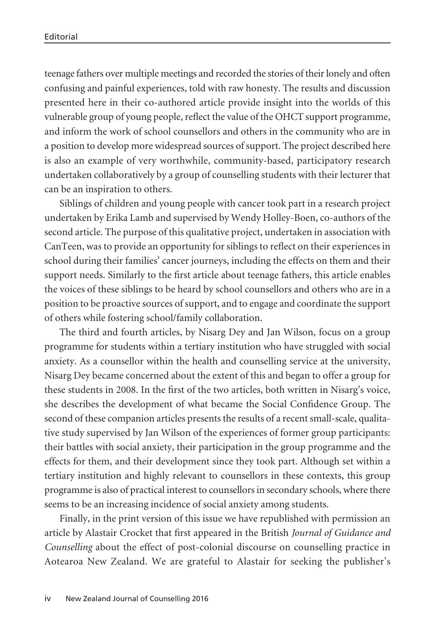teenage fathers over multiple meetings and recorded the stories of their lonely and often confusing and painful experiences, told with raw honesty. The results and discussion presented here in their co-authored article provide insight into the worlds of this vulnerable group of young people, reflect the value of the OHCT support programme, and inform the work of school counsellors and others in the community who are in a position to develop more widespread sources of support. The project described here is also an example of very worthwhile, community-based, participatory research undertaken collaboratively by a group of counselling students with their lecturer that can be an inspiration to others.

Siblings of children and young people with cancer took part in a research project undertaken by Erika Lamb and supervised by Wendy Holley-Boen, co-authors of the second article. The purpose of this qualitative project, undertaken in association with CanTeen, was to provide an opportunity for siblings to reflect on their experiences in school during their families' cancer journeys, including the effects on them and their support needs. Similarly to the first article about teenage fathers, this article enables the voices of these siblings to be heard by school counsellors and others who are in a position to be proactive sources of support, and to engage and coordinate the support of others while fostering school/family collaboration.

The third and fourth articles, by Nisarg Dey and Jan Wilson, focus on a group programme for students within a tertiary institution who have struggled with social anxiety. As a counsellor within the health and counselling service at the university, Nisarg Dey became concerned about the extent of this and began to offer a group for these students in 2008. In the first of the two articles, both written in Nisarg's voice, she describes the development of what became the Social Confidence Group. The second of these companion articles presents the results of a recent small-scale, qualita tive study supervised by Jan Wilson of the experiences of former group participants: their battles with social anxiety, their participation in the group programme and the effects for them, and their development since they took part. Although set within a tertiary institution and highly relevant to counsellors in these contexts, this group programme is also of practical interest to counsellors in secondary schools, where there seems to be an increasing incidence of social anxiety among students.

Finally, in the print version of this issue we have republished with permission an article by Alastair Crocket that first appeared in the British *Journal of Guidance and Counselling* about the effect of post-colonial discourse on counselling practice in Aotearoa New Zealand. We are grateful to Alastair for seeking the publisher's